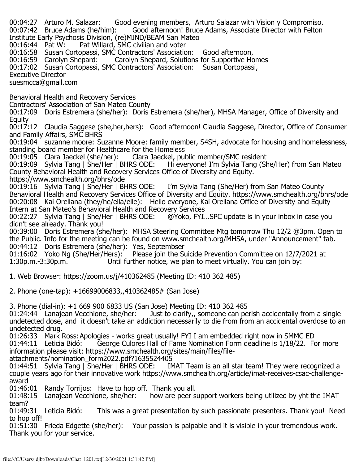00:04:27 Arturo M. Salazar: Good evening members, Arturo Salazar with Vision y Compromiso.<br>00:07:42 Bruce Adams (he/him): Good afternoon! Bruce Adams, Associate Director with Felton Good afternoon! Bruce Adams, Associate Director with Felton Institute Early Psychosis Division, (re)MIND/BEAM San Mateo Pat Willard, SMC civilian and voter 00:16:58 Susan Cortopassi, SMC Contractors' Association: Good afternoon,<br>00:16:59 Carolyn Shepard: Carolyn Shepard, Solutions for Supportive Ho Carolyn Shepard, Solutions for Supportive Homes 00:17:02 Susan Cortopassi, SMC Contractors' Association: Susan Cortopassi, Executive Director suesmcca@gmail.com Behavioral Health and Recovery Services Contractors' Association of San Mateo County 00:17:09 Doris Estremera (she/her): Doris Estremera (she/her), MHSA Manager, Office of Diversity and **Equity** 00:17:12 Claudia Saggese (she,her,hers): Good afternoon! Claudia Saggese, Director, Office of Consumer and Family Affairs, SMC BHRS 00:19:04 suzanne moore: Suzanne Moore: family member, S4SH, advocate for housing and homelessness, standing board member for Healthcare for the Homeless<br>00:19:05 Clara Jaeckel (she/her): Clara Jaeckel, public member/SMC resident 00:19:05 Clara Jaeckel (she/her): Clara Jaeckel (she/her): Clara Jaeckel (she/Her) Hi everyone! I'm Sylvia Tang (She/Her) from San Mateo County Behavioral Health and Recovery Services Office of Diversity and Equity. https://www.smchealth.org/bhrs/ode<br>00:19:16 Sylvia Tang | She/Her | BHRS ODE: I'm Sylvia Tang (She/Her) from San Mateo County Behavioral Health and Recovery Services Office of Diversity and Equity. https://www.smchealth.org/bhrs/ode 00:20:08 Kai Orellana (they/he/ella/elle): Hello everyone, Kai Orellana Office of Diversity and Equity Intern at San Mateo's Behavioral Health and Recovery Services<br>00:22:27 Sylvia Tang | She/Her | BHRS ODE: @Yoko, FYI. @Yoko, FYI...SPC update is in your inbox in case you didn't see already. Thank you! 00:39:00 Doris Estremera (she/her): MHSA Steering Committee Mtg tomorrow Thu 12/2 @3pm. Open to the Public. Info for the meeting can be found on www.smchealth.org/MHSA, under "Announcement" tab. 00:44:12 Doris Estremera (she/her): Yes, Septembser 01:16:02 Yoko Ng (She/Her/Hers): Please join the Suicide Prevention Committee on 12/7/2021 at 1:30p.m. 3:30p.m. Until further notice, we plan to meet virtually. You can join by: 1. Web Browser: https://zoom.us/j/410362485 (Meeting ID: 410 362 485) 2. Phone (one-tap): +16699006833,,410362485# (San Jose) 3. Phone (dial-in): +1 669 900 6833 US (San Jose) Meeting ID: 410 362 485 01:24:44 Lanajean Vecchione, she/her: Just to clarify,, someone can perish accidentally from a single undetected dose, and it doesn't take an addiction necessarily to die from from an accidental overdose to an undetected drug. 01:26:33 Mark Ross: Apologies - works great usually! FYI I am embedded right now in SMMC ED<br>01:44:11 Leticia Bidó: George Culores Hall of Fame Nomination Form deadline is 1/18/22. Fo George Culores Hall of Fame Nomination Form deadline is 1/18/22. For more information please visit: https://www.smchealth.org/sites/main/files/fileattachments/nomination\_form2022.pdf?1635524405<br>01:44:51 Sylvia Tang | She/Her | BHRS ODE: IM IMAT Team is an all star team! They were recognized a couple years ago for their innovative work https://www.smchealth.org/article/imat-receives-csac-challengeaward<br>01:46:01 Randy Torrijos: Have to hop off. Thank you all. 01:48:15 Lanajean Vecchione, she/her: how are peer support workers being utilized by yht the IMAT team?<br>01:49:31 Leticia Bidó: This was a great presentation by such passionate presenters. Thank you! Need to hop off! 01:51:30 Frieda Edgette (she/her): Your passion is palpable and it is visible in your tremendous work. Thank you for your service.